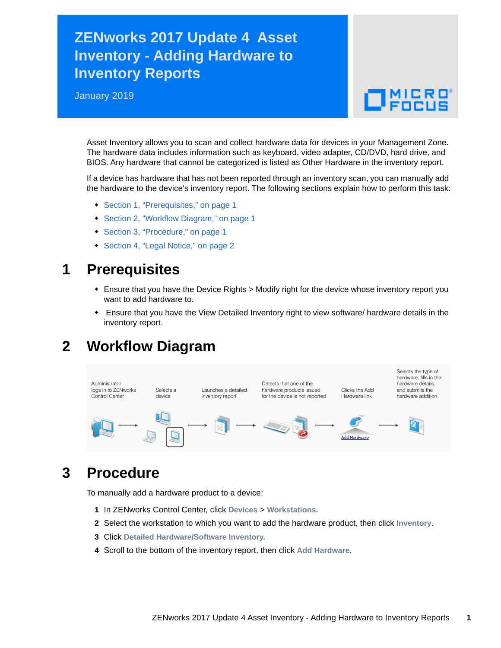# **ZENworks 2017 Update 4 Asset Inventory - Adding Hardware to Inventory Reports**

January 2019

# $\Box$ MICRO

Asset Inventory allows you to scan and collect hardware data for devices in your Management Zone. The hardware data includes information such as keyboard, video adapter, CD/DVD, hard drive, and BIOS. Any hardware that cannot be categorized is listed as Other Hardware in the inventory report.

If a device has hardware that has not been reported through an inventory scan, you can manually add the hardware to the device's inventory report. The following sections explain how to perform this task:

- [Section 1, "Prerequisites," on page 1](#page-0-0)
- [Section 2, "Workflow Diagram," on page 1](#page-0-1)
- [Section 3, "Procedure," on page 1](#page-0-2)
- [Section 4, "Legal Notice," on page 2](#page-1-0)

#### <span id="page-0-0"></span>**1 Prerequisites**

- Ensure that you have the Device Rights > Modify right for the device whose inventory report you want to add hardware to.
- Ensure that you have the View Detailed Inventory right to view software/ hardware details in the inventory report.

## <span id="page-0-1"></span>**2 Workflow Diagram**



## <span id="page-0-2"></span>**3 Procedure**

To manually add a hardware product to a device:

- **1** In ZENworks Control Center, click **Devices** > **Workstations.**
- **2** Select the workstation to which you want to add the hardware product, then click **Inventory**.
- **3** Click **Detailed Hardware/Software Inventory.**
- **4** Scroll to the bottom of the inventory report, then click **Add Hardware**.